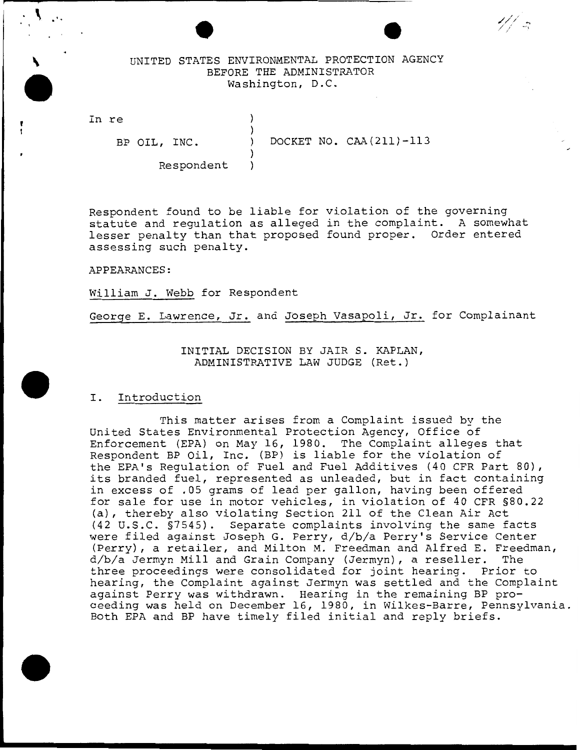# UNITED STATES ENVIRONMENTAL PROTECTION AGENCY BEFORE THE ADMINISTRATOR Washington, D.C.

} )

}

In re

 $\cdot$  ...

'

BP OIL, INC. ) DOCKET NO. CAA(211)-113

*/ / /*  / ' \_ ... ~ ' ' •'

Respondent }

Respondent found to be liable for violation of the governing statute and regulation as alleged in the complaint. A somewhat lesser penalty than that proposed found proper. Order entered assessing such penalty.

APPEARANCES:

William J. Webb for Respondent

George E. Lawrence, Jr. and Joseph Vasapoli, Jr. for Complainant

INITIAL DECISION BY JAIR S. KAPLAN, ADMINISTRATIVE LAW JUDGE (Ret.)

#### I. Introduction

This matter arises from a Complaint issued by the United States Environmental Protection Agency, Office of Enforcement (EPA} on May 16, 1980. The Complaint alleges that Respondent BP Oil, Inc. (BP) is liable for the violation of the EPA's Regulation of Fuel and Fuel Additives (40 CPR Part 80}, its branded fuel, represented as unleaded, but in fact containing in excess of .05 grams of lead per gallon, having been offered for sale for use in motor vehicles, in violation of 40 CPR §80.22 (a}, thereby also violating Section 211 of the Clean Air Act (42 U.S.C. §7545}. Separate complaints involving the same facts were filed against Joseph G. Perry, d/b/a Perry's Service Center (Perry}, a retailer, and Milton M. Freedman and Alfred E. Freedman, d/b/a Jermyn Mill and Grain Company (Jermyn}, a reseller. The three proceedings were consolidated for joint hearing. Prior to hearing, the Complaint against Jermyn was settled and the Complaint against Perry was withdrawn. Hearing in the remaining BP proceeding was held on December 16, 1980, in Wilkes-Barre, Pennsylvania. Both EPA and BP have timely filed initial and reply briefs.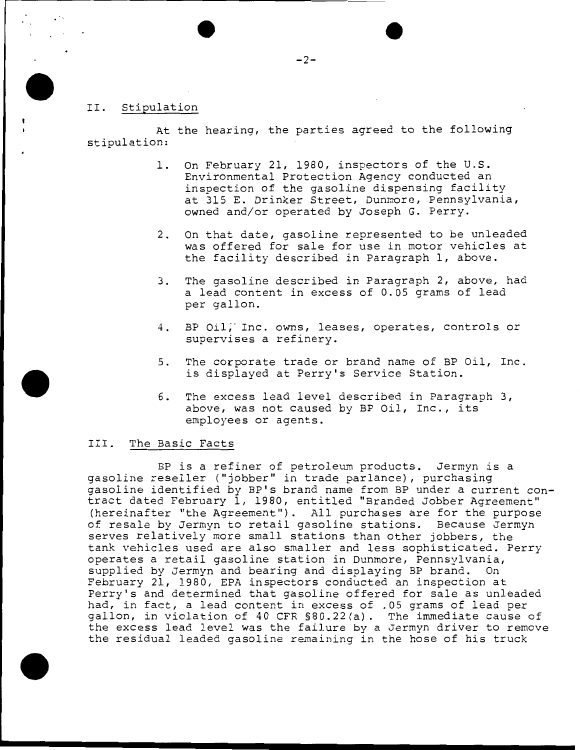## II. Stipulation

At the hearing, the parties agreed to the following stipulation:

- 1. On February 21, 1980, inspectors of the U.S. Environmental Protection Agency conducted an inspection of the gasoline dispensing facility at 315 E. Drinker Street, Dunmore, Pennsylvania, owned and/or operated by Joseph G. Perry.
- 2. On that date, gasoline represented to be unleaded was offered for sale for use in motor vehicles at the facility described in Paragraph 1, above.
- 3. The gasoline described in Paragraph 2, above, had a lead content in excess of 0.05 grams of lead per gallon.
- 4. BP Oil;· Inc. owns, leases, operates, controls or supervises a refinery.
- 5. The corporate trade or brand name of BP Oil, Inc. is displayed at Perry's Service Station.
- 6. The excess lead level described in Paragraph 3, above, was not caused by BP Oil, Inc., its employees or agents.

#### III. The Basic Facts

BP is a refiner of petroleum products. Jermyn is a gasoline reseller ("jobber'' in trade parlance), purchasing gasoline identified by BP's brand name from BP under a current contract dated February 1, 1980, entitled "Branded Jobber Agreement" (hereinafter "the Agreement''). All purchases are for the purpose of resale by Jermyn to retail gasoline stations. Because Jermyn serves relatively more small stations than other jobbers, the tank vehicles used are also smaller and less sophisticated. Perry operates a retail gasoline station in Dunmore, Pennsylvania, supplied by Jermyn and bearing and displaying BP brand. On February 21, 1980, EPA inspectors conducted an inspection at Perry's and determined that gasoline offered for sale as unleaded had, in fact, a lead content in excess of .05 grams of lead per gallon, in violation of 40 CFR §80.22(a). The immediate cause of the excess lead level was the failure by a Jermyn driver to remove the residual leaded gasoline remaining in the hose of his truck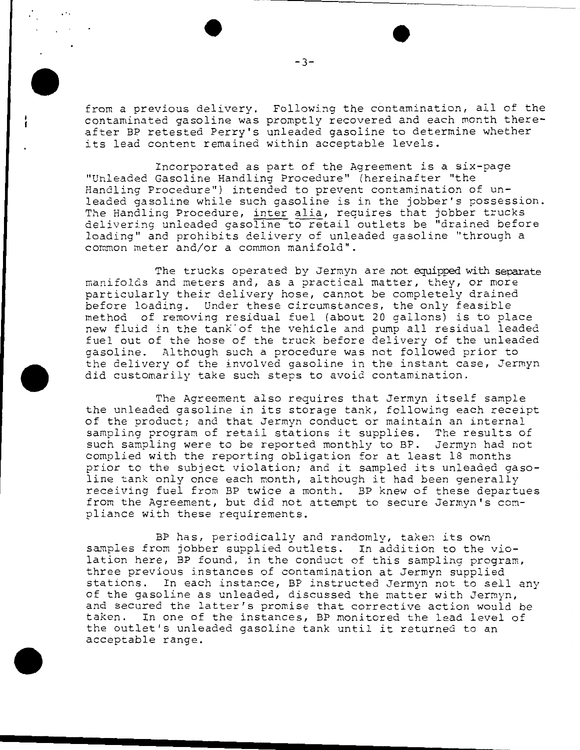from a previous delivery. Following the contamination, all of the contaminated gasoline was promptly recovered and each month thereafter BP retested Perry's unleaded gasoline to determine whether arter of recessed ferry 5 differed gasoring to accent

Incorporated as part of the Agreement is a six-page "Unleaded Gasoline Handling Procedure'' (hereinafter "the Handling Procedure") intended to prevent contamination of unleaded gasoline while such gasoline is in the jobber's possession. The Handling Procedure, inter alia, requires that jobber trucks delivering unleaded gasoline to retail outlets be ''drained before loading" and prohibits delivery of unleaded gasoline "through a common meter and/or a common manifold".

The trucks operated by Jermyn are not equipped with separate manifolds and meters and, as a practical matter, they, or more particularly their delivery hose, cannot be completely drained before loading. Under these circumstances, the only feasible method of removing residual fuel (about 20 gallons) is to place new fluid in the tank of the vehicle and pump all residual leaded fuel out of the hose of the truck before delivery of the unleaded gasoline. Although such a procedure was not followed prior to the delivery of the involved gasoline in the instant case, Jermyn did customarily take such steps to avoid contamination.

The Agreement also requires that Jermyn itself sample the unleaded gasoline in its storage tank, following each receipt of the product; and that Jermyn conduct or maintain an internal sampling program of retail stations it supplies. The results of such sampling were to be reported monthly to BP. Jermyn had not complied with the reporting obligation for at least 18 months prior to the subject violation; and it sampled its unleaded gasoline tank only once each month, although it had been generally receiving fuel from BP twice a month. BP knew of these departues from the Agreement, but did not attempt to secure Jermyn's compliance with these requirements.

BP has, periodically and randomly, taken its own samples from jobber supplied outlets. In addition to the violation here, BP found, in the conduct of this sampling program, three previous instances of contamination at Jermyn supplied stations. In each instance, BP instructed Jermyn not to sell any of the gasoline as unleaded, discussed the matter with Jermyn, and secured the latter's promise that corrective action would be taken. In one of the instances, BP monitored the lead level of the outlet's unleaded gasoline tank until it returned to an acceptable range.

-3-

 $\frac{1}{\sqrt{2}}$  . The contract of the contract of the contract of the contract of the contract of the contract of the contract of the contract of the contract of the contract of the contract of the contract of the contract o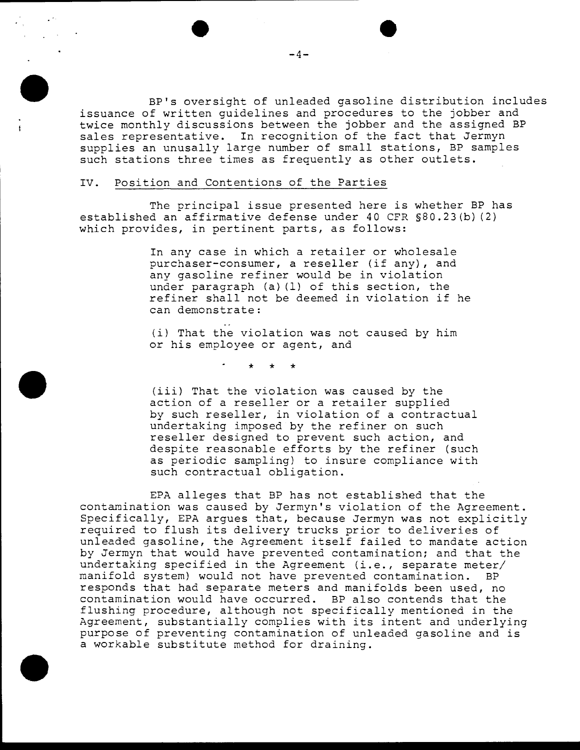BP's oversight of unleaded gasoline distribution includes issuance of written guidelines and procedures to the jobber and twice monthly discussions between the jobber and the assigned BP sales representative. In recognition of the fact that Jermyn supplies an unusally large number of small stations, BP samples such stations three times as frequently as other outlets.

### IV. Position and Contentions of the Parties

The principal issue presented here is whether BP has established an affirmative defense under 40 CFR §80.23(b) (2) which provides, in pertinent parts, as follows:

> In any case in which a retailer or wholesale purchaser-consumer, a reseller (if any), and any gasoline refiner would be in violation under paragraph (a) (1) of this section, the refiner shall not be deemed in violation if he can demonstrate:

(i) That the violation was not caused by him or his employee or agent, and

\* \* \*

(iii) That the violation was caused by the action of a reseller or a retailer supplied by such reseller, in violation of a contractual undertaking imposed by the refiner on such reseller designed to prevent such action, and despite reasonable efforts by the refiner (such as periodic sampling) to insure compliance with such contractual obligation.

EPA alleges that BP has not established that the contamination was caused by Jermyn's violation of the Agreement. Specifically, EPA argues that, because Jermyn was not explicitly required to flush its delivery trucks prior to deliveries of unleaded gasoline, the Agreement itself failed to mandate action by Jermyn that would have prevented contamination: and that the undertaking specified in the Agreement (i.e., separate meter/ manifold system) would not have prevented contamination. BP responds that had separate meters and manifolds been used, no contamination would have occurred. BP also contends that the flushing procedure, although not specifically mentioned in the Agreement, substantially complies with its intent and underlying purpose of preventing contamination of unleaded gasoline and is a workable substitute method for draining.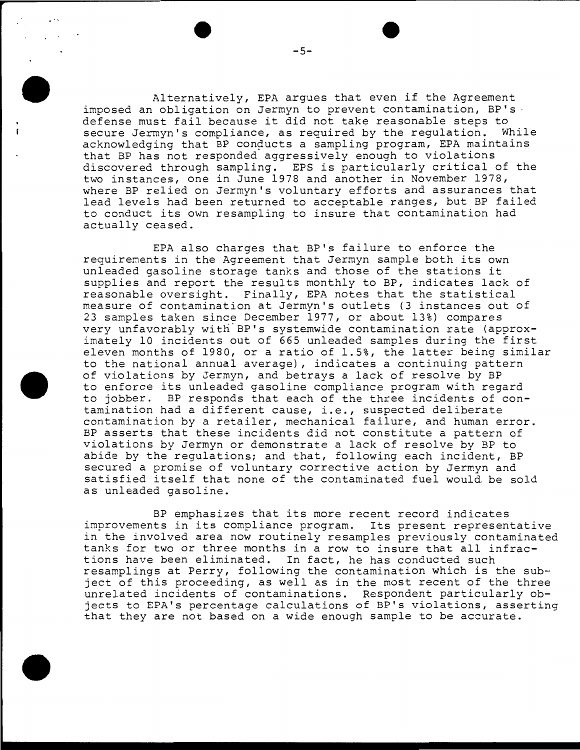Alternatively, EPA argues that even if the Agreement imposed an obligation on Jermyn to prevent contamination, BP's . defense must fail because it did not take reasonable steps to<br>secure Jermyn's compliance, as required by the requlation. While secure Jermyn's compliance, as required by the regulation. acknowledging that BP conducts a sampling program, EPA maintains that BP has not responded aggressively enough to violations discovered through sampling. EPS is particularly critical of the two instances, one in June 1978 and another in November 1978, where BP relied on Jermyn's voluntary efforts and assurances that lead levels had been returned to acceptable ranges, but BP failed to conduct its own resampling to insure that contamination had actually ceased.

EPA also charges that BP's failure to enforce the requirements in the Agreement that Jermyn sample both its own unleaded gasoline storage tanks and those of the stations it supplies and report the results monthly to BP, indicates lack of reasonable oversight. Finally, EPA notes that the statistical measure of contamination at Jermyn's outlets (3 instances out of 23 samples taken since December 1977, or about 13%) compares very unfavorably with BP's systemwide contamination rate (approximately 10 incidents out of 665 unleaded samples during the first eleven months of 1980, or a ratio of 1.5%, the latter being similar to the national annual average) , indicates a continuing pattern of violations by Jermyn, and betrays a lack of resolve by BP to enforce its unleaded gasoline compliance program with regard to jobber. BP responds that each of the three incidents of contamination had a different cause, i.e., suspected deliberate contamination by a retailer, mechanical failure, and human error. BP asserts that these incidents did not constitute a pattern of violations by Jermyn or demonstrate a lack of resolve by BP to abide by the regulations; and that, following each incident, BP secured a promise of voluntary corrective action by Jermyn and satisfied itself that none of the contaminated fuel would be sold as unleaded gasoline.

BP emphasizes that its more recent record indicates improvements in its compliance program. Its present representative in the involved area now routinely resamples previously contaminated tanks for two or three months in a row to insure that all infractions have been eliminated. In fact, he has conducted such resamplings at Perry, following the contamination which is the subject of this proceeding, as well as in the most recent of the three unrelated incidents of contaminations. Respondent particularly objects to EPA's percentage calculations of BP's violations, asserting that they are not based on a wide enough sample to be accurate.

.. ,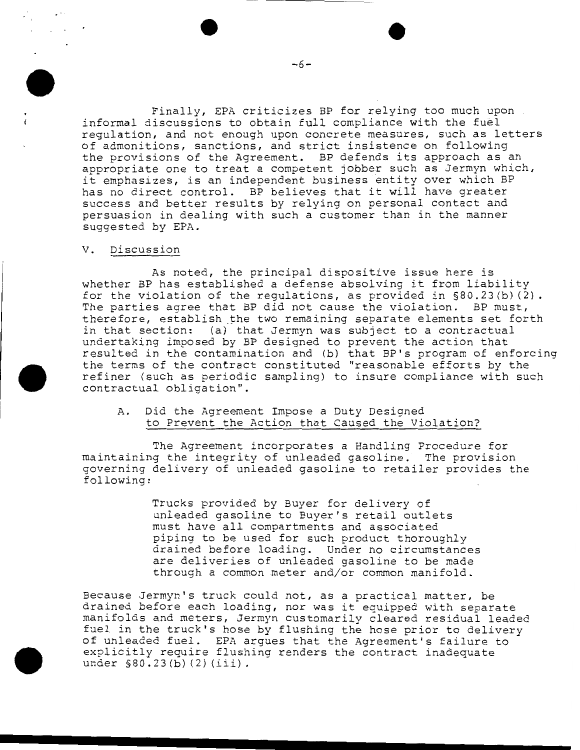Finally, EPA criticizes BP for relying too much upon informal discussions to obtain full compliance with the fuel regulation, and not enough upon concrete measures, such as letters of admonitions, sanctions, and strict insistence on following the provisions of the Agreement. BP defends its approach as an appropriate one to treat a competent jobber such as Jermyn which, it emphasizes, is an independent business entity over which BP has no direct control. BP believes that it will have greater success and better results by relying on personal contact and persuasion in dealing with such a customer than in the manner suggested by EPA.

#### V. Discussion

 $\mathcal{L}^{\mathcal{A}}$  ,  $\mathcal{L}^{\mathcal{A}}$  ,  $\mathcal{L}^{\mathcal{A}}$ 

As noted, the principal dispositive issue here is whether BP has established a defense absolving it from liability for the violation of the regulations, as provided in §80.23(b) (2). The parties agree that BP did not cause the violation. BP must, therefore, establish the two remaining separate elements set forth in that section: (a) that Jermyn was subject to a contractual undertaking imposed by BP designed to prevent the action that resulted in the contamination and (b) that BP's program of enforcing the terms of the contract constituted "reasonable efforts by the refiner (such as periodic sampling) to insure compliance with such contractual obligation".

A. Did the Agreement Impose a Duty Designed to Prevent the Action that Caused the Violation?

The Agreement incorporates a Handling Procedure for maintaining the integrity of unleaded gasoline. The provision governing delivery of unleaded gasoline to retailer provides the following:

> Trucks provided by Buyer for delivery of unleaded gasoline to Buyer's retail outlets must have all compartments and associated piping to be used for such product thoroughly drained before loading. Under no circumstances are deliveries of unleaded gasoline to be made through a common meter and/or common manifold.

Because Jermyn's truck could not, as a practical matter, be drained before each loading, nor was it equipped with separate manifolds and meters, Jermyn customarily cleared residual leaded fuel in the truck's hose by flushing the hose prior to delivery of unleaded fuel. EPA argues that the Agreement's failure to explicitly require flushing renders the contract inadequate under §80.23(b)(2)(iii).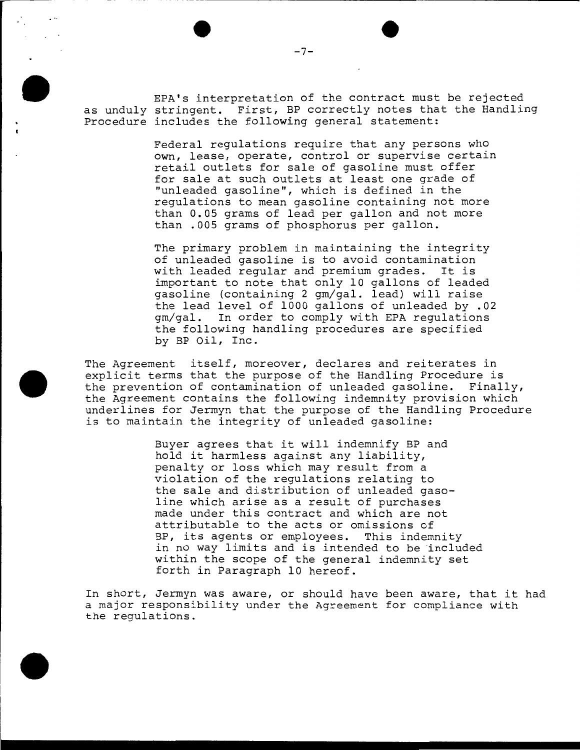EPA's interpretation of the contract must be rejected as unduly stringent. First, BP correctly notes that the Handling Procedure includes the following general statement:

> Federal regulations require that any persons who own, lease, operate, control or supervise certain retail outlets for sale of gasoline must offer for sale at such outlets at least one grade of "unleaded gasoline", which is defined in the regulations to mean gasoline containing not more than 0.05 grams of lead per gallon and not more than .005 grams of phosphorus per gallon.

> The primary problem in maintaining the integrity of unleaded gasoline is to avoid contamination with leaded regular and premium grades. It is important to note that only 10 gallons of leaded gasoline (containing 2 gm/gal. lead) will raise the lead level of 1000 gallons of unleaded by .02 gm/gal. In order to comply with EPA regulations the following handling procedures are specified by BP Oil, Inc.

The Agreement itself, moreover, declares and reiterates in explicit terms that the purpose of the Handling Procedure is the prevention of contamination of unleaded gasoline. Finally, the Agreement contains the following indemnity provision which underlines for Jermyn that the purpose of the Handling Procedure is to maintain the integrity of unleaded gasoline:

> Buyer agrees that it will indemnify BP and hold it harmless against any liability, penalty or loss which may result from a violation of the regulations relating to the sale and distribution of unleaded gasoline which arise as a result of purchases made under this contract and which are not attributable to the acts or omissions of BP, its agents or employees. This indemnity in no way limits and is intended to be included within the scope of the general indemnity set forth in Paragraph 10 hereof.

In short, Jermyn was aware, or should have been aware, that it had a major responsibility under the Agreement for compliance with the regulations.

 $-7-$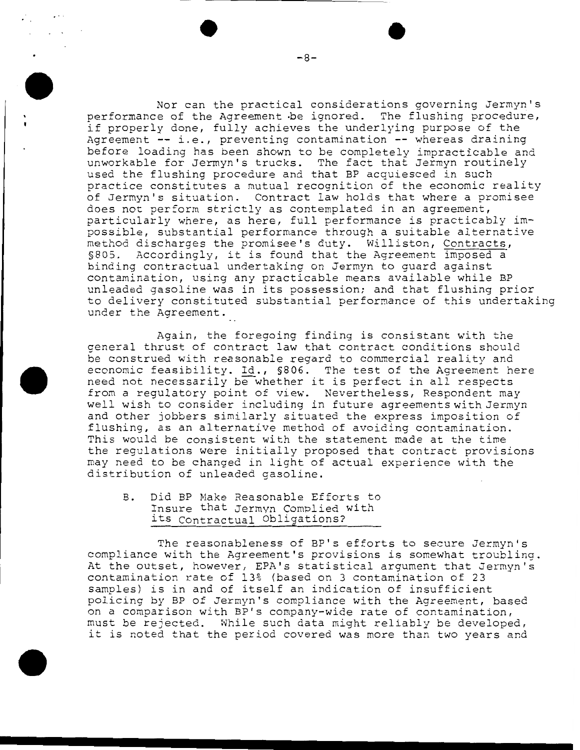Nor can the practical considerations governing Jermyn's performance of the Agreement ·be ignored. The flushing procedure, if properly done, fully achieves the underlying purpose of the Agreement -- i.e., preventing contamination -- whereas draining before loading has been shown to be completely impracticable and unworkable for Jermyn's trucks. The fact that Jermyn routinely used the flushing procedure and that BP acquiesced in such practice constitutes a mutual recognition of the economic reality of Jermyn's situation. Contract law holds that where a promisee does not perform strictly as contemplated in an agreement, particularly where, as here, full performance is practicably impossible, substantial performance through a suitable alternative nethod discharges the promisee's duty. Williston, Contracts, \$805. Accordingly, it is found that the Agreement imposed a binding contractual undertaking on Jermyn to guard against contamination, using any practicable means available while BP unleaded gasoline was in its possession; and that flushing prior to delivery constituted substantial performance of this undertaking under the Agreement.

Again, the foregoing finding is consistant with the general thrust of contract law that contract conditions should be construed with reasonable regard to commercial reality and economic feasibility. Id., §806. The test of the Agreement here need not necessarily be whether it is perfect in all respects from a regulatory point of view. Nevertheless, Respondent may well wish to consider including in future agreements with Jermyn and other jobbers similarly situated the express imposition of flushing, as an alternative method of avoiding contamination. This would be consistent with the statement made at the time the regulations were initially proposed that contract provisions may need to be changed in light of actual experience with the distribution of unleaded gasoline.

# B. Did BP Make Reasonable Efforts to Insure that Jermyn Complied with its Contractual Obligations?

The reasonableness of BP's efforts to secure Jermyn's compliance with the Agreement's provisions is somewhat troubling. At the outset, however, EPA's statistical argument that Jermyn's contamination rate of 13% (based on 3 contamination of 23 samples) is in and of itself an indication of insufficient policing by BP of Jermyn's compliance with the Agreement, based on a comparison with BP's company-wide rate of contamination, must be rejected. While such data might reliably be developed, it is noted that the period covered was more than two years and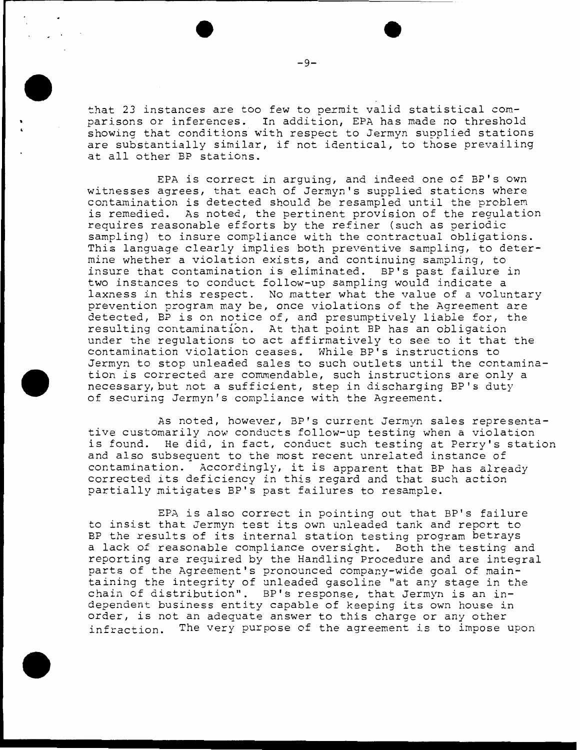that 23 instances are too few to permit valid statistical comparisons or inferences. In addition, EPA has made no threshold showing that conditions with respect to Jermyn supplied stations are substantially similar, if not identical, to those prevailing at all other BP stations.

EPA is correct in arguing, and indeed one o£ BP's own witnesses agrees, that each of Jermyn's supplied stations where contamination is detected should be resampled until the problem is remedied. As noted, the pertinent provision of the regulation requires reasonable efforts by the refiner (such as periodic sampling) to insure compliance with the contractual obligations. This language clearly implies both preventive sampling, to determine whether a violation exists, and continuing sampling, to insure that contamination is eliminated. BP's past failure in two instances to conduct follow-up sampling would indicate a laxness in this respect. No matter what the value of a voluntary prevention program may be, once violations of the Agreement are detected, BP is on notice of, and presumptively liable for, the resulting contamination. At that point BP has an obligation under the regulations to act affirmatively to see to it that the contamination violation ceases. While BP's instructions to Jermyn to stop unleaded sales to such outlets until the contamination is corrected are commendable, such instructions are only a necessary, but not a sufficient, step in discharging BP's duty of securing Jermyn's compliance with the Agreement.

As noted, however, BP's current Jermyn sales representative customarily now conducts follow-up testing when a violation is found. He did, in fact, conduct such testing at Perry's station and also subsequent to the most recent unrelated instance of contamination. Accordingly, it is apparent that BP has already corrected its deficiency in this regard and that such action partially mitigates BP's past failures to resample.

EPA is also correct in pointing out that BP's failure to insist that Jermyn test its own unleaded tank and report to BP the results of its internal station testing program betrays a lack of reasonable compliance oversight. Both the testing and reporting are required by the Handling Procedure and are integral parts of the Agreement's pronounced company-wide goal of maintaining the integrity of unleaded gasoline "at any stage in the chain of distribution''. BP's response, that Jermyn is an independent business entity capable of keeping its own house in order, is not an adequate answer to this charge or any other infraction. The very purpose of the agreement is to impose upon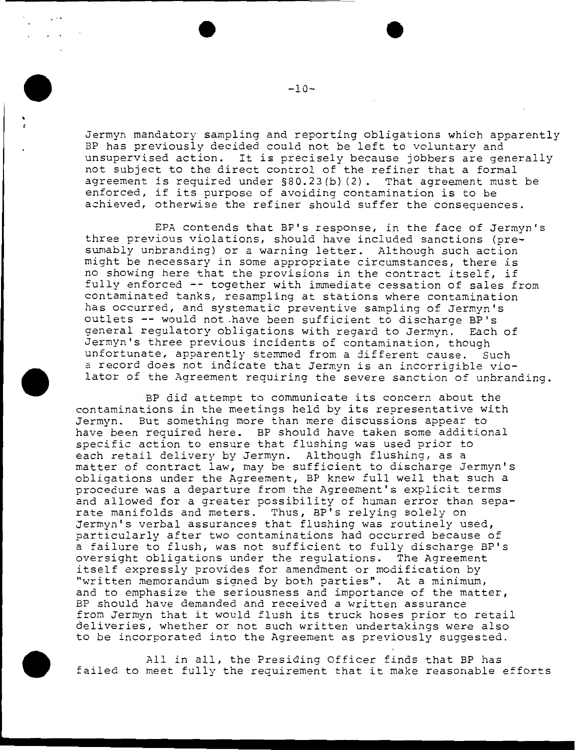Jermyn mandatory sampling and reporting obligations which apparently BP has previously decided could not be left to voluntary and unsupervised action. It is precisely because jobbers are generally not subject to the direct control of the refiner that a formal agreement is required under §80.23(b) (2). That agreement must be enforced, if its purpose of avoiding contamination is to be achieved, otherwise the refiner should suffer the consequences.

EPA contends that BP's response, in the face of Jermyn's three previous violations, should have included sanctions (presumably unbranding) or a warning letter. Although such action might be necessary in some appropriate circumstances, there is no showing here that the provisions in the contract itself, if fully enforced -- together with immediate cessation of sales from contaminated tanks, resampling at stations where contamination has occurred, and systematic preventive sampling of Jermyn's outlets -- would not have been sufficient to discharge BP's general regulatory obligations with regard to Jermyn. Each of Jermyn's three previous incidents of contamination, though unfortunate, apparently stemmed from a different cause. Such a record does not indicate that Jermvn is an incorriaible violator of the Agreement requiring the severe sanction of unbranding.

BP did attempt to communicate its concern about the contaminations in the meetings held by its representative with Jermyn. But something more than mere discussions appear to have been required here. BP should have taken some additional specific action to ensure that flushing was used prior to each retail delivery by Jermyn. Although flushing, as a matter of contract law, may be sufficient to discharge Jermyn's obligations under the Agreement, BP knew full well that such a procedure was a departure from the Agreement's explicit terms and allowed for a greater possibility of human error than separate manifolds and meters. Thus, BP's relying solely on Jermyn's verbal assurances that flushing was routinely used, particularly after two contaminations had occurred because of a failure to flush, was not sufficient to fully discharge BP's oversight obligations under the regulations. The Agreement itself expressly provides for amendment or modification by "written memorandum signed by both parties". At a minimum, and to emphasize the seriousness and importance of the matter, BP should have demanded and received a written assurance from Jermyn that it would flush its truck hoses prior to retail deliveries, whether or not such written undertakings were also to be incorporated into the Agreement as previously suggested.

All in all, the Presiding Officer finds that BP has failed to meet fully the requirement that it make reasonable efforts

 $-10-$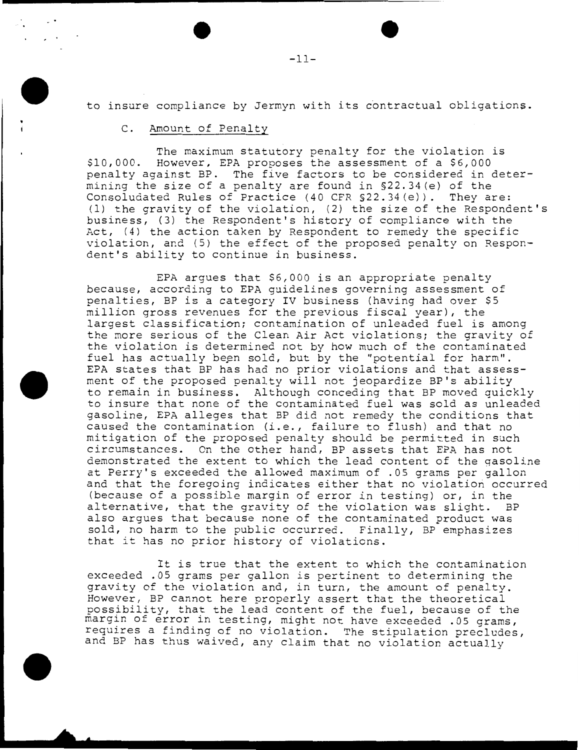to insure compliance by Jermyn with its contractual obligations.

# C. Amount of Penalty

The maximum statutory penalty for the violation is \$10,000. However, EPA proposes the assessment of a \$6,000 penalty against BP. The five factors to be considered in determining the size of a penalty are found in §22.34(e) of the Consoludated Rules of Practice (40 CFR §22.34(e)). They are: (1) the gravity of the violation, (2) the size of the Respondent's business, (3) the Respondent's history of compliance with the Act, (4) the action taken by Respondent to remedy the specific violation, and (5) the effect of the proposed penalty on Respondent's ability to continue in business.

EPA argues that \$6,000 is an appropriate penalty because, according to EPA guidelines governing assessment of penalties, BP is a category IV business (having had over \$5 million gross revenues for the previous fiscal year), the largest classification; contamination of unleaded fuel is among the more serious of the Clean Air Act violations; the gravity of the violation is determined not by how much of the contaminated fuel has actually been sold, but by the "potential for harm". EPA states that BP has had no prior violations and that assessment of the proposed penalty will not jeopardize BP's ability to remain in business. Although conceding that BP moved quickly to insure that none of the contaminated fuel was sold as unleaded gasoline, EPA alleges that BP did not remedy the conditions that caused the contamination (i.e., failure to flush) and that no mitigation of the proposed penalty should be permitted in such circumstances. On the other hand, BP assets that EPA has not demonstrated the extent to which the lead content of the gasoline at Perry's exceeded the allowed maximum of .05 grams per gallon and that the foregoing indicates either that no violation occurred (because of a possible margin of error in testing) or, in the alternative, that the gravity of the violation was slight. BP also argues that because none of the contaminated product was sold, no harm to the public occurred. Finally, BP emphasizes that it has no prior history of violations.

It is true that the extent to which the contamination exceeded .05 grams per gallon is pertinent to determining the gravity of the violation and, in turn, the amount of penalty. However, BP cannot here properly assert that the theoretical possibility, that the lead content of the fuel, because of the margin of error in testing, might not have exceeded .05 grams, requires a finding of no violation. The stipulation precludes, and BP has thus waived, any claim that no violation actually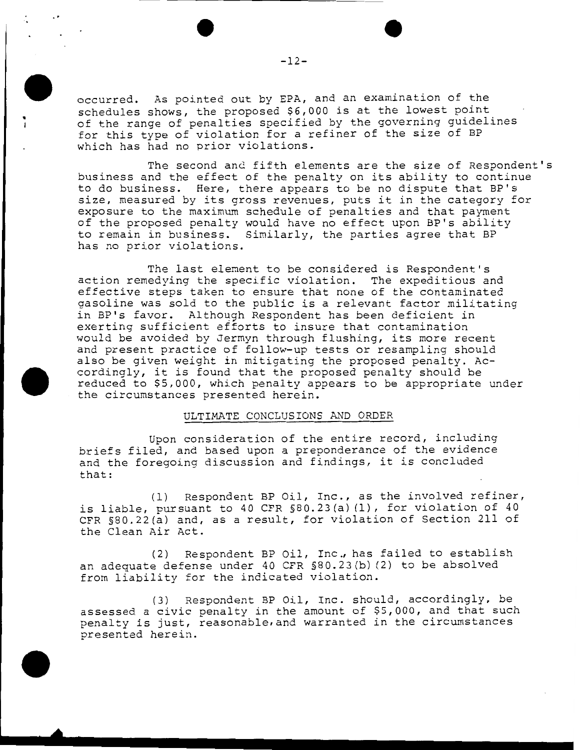occurred. As pointed out by EPA, and an examination of the schedules shows, the proposed \$6,000 is at the lowest point of the range of penalties specified by the governing guidelines for this type of violation for a refiner of the size of BP which has had no prior violations.

The second and fifth elements are the size of Respondent's business and the effect of the penalty on its ability to continue to do business. Here, there appears to be no dispute that BP's size, measured by its gross revenues, puts it in the category for exposure to the maximum schedule of penalties and that payment of the proposed penalty would have no effect upon BP's ability to remain in business. Similarly, the parties agree that BP has no prior violations.

The last element to be considered is Respondent's action remedying the specific violation. The expeditious and effective steps taken to ensure that none of the contaminated gasoline was sold to the public is a relevant factor militating in BP's favor. Although Respondent has been deficient in exerting sufficient efforts to insure that contamination would be avoided by Jermyn through flushing, its more recent and present practice of follow-up tests or resampling should also be given weight in mitigating the proposed penalty. Accordingly, it is found that the proposed penalty should be reduced to \$5,000, which penalty appears to be appropriate under the circumstances presented herein.

### ULTIMATE CONCLUSIONS AND ORDER

Upon consideration of the entire record, including briefs filed, and based upon a preponderance of the evidence and the foregoing discussion and findings, it is concluded that:

(1) Respondent BP Oil, Inc., as the involved refiner, is liable, pursuant to 40 CFR §80.23(a) (1), for violation of 40 CFR §80.22(a) and, as a result, for violation of Section 211 of the Clean Air Act.

(2) Respondent BP Oil, Inc., has failed to establish an adequate defense under 40 CFR §80.23(b) (2) to be absolved from liability for the indicated violation.

(3) Respondent BP Oil, Inc. should, accordingly, be assessed a civic penalty in the amount of \$5,000, and that such penalty is just, reasonable,and warranted in the circumstances presented herein.

..

• '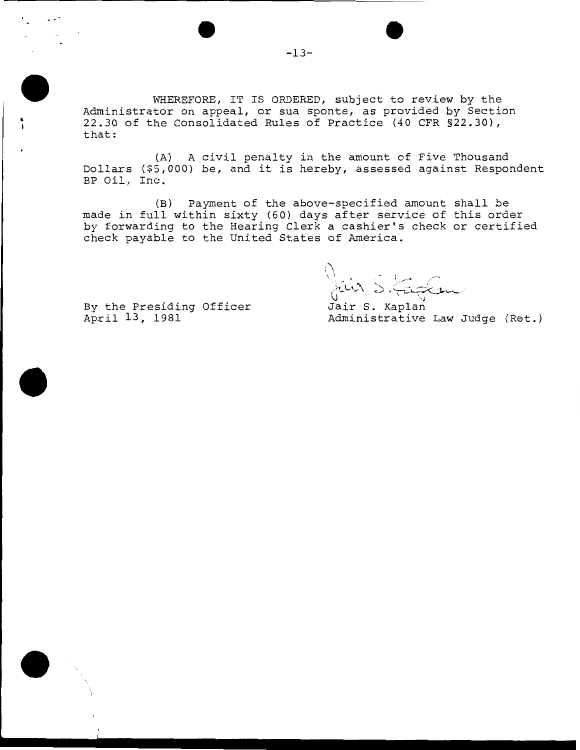WHEREFORE, IT IS ORDERED, subject to review by the Administrator on appeal, or sua sponte, as provided by Section 22.30 of the Consolidated Rules of Practice (40 CFR §22.30), that:

(A) A civil penalty in the amount of Five Thousand Dollars {\$5,000) be, and it is hereby, assessed against Respondent BP Oil, Inc.

(B) Payment o£ the above-specified amount shall be made in full within sixty (60) days after service of this order by forwarding to the Hearing Clerk a cashier's check or certified check payable to the United States of America.

 $\cup$ \ \ I *.-r-* , <sup>~</sup>'-' .,. ' ) ,:.--- -~ ... -... / *Jun 5. ferfer* 

By the Presiding Officer April 13, 1981

 $\ddot{\phantom{a}}$ 

··-

Jair S. Kaplan Administrative Law Judge (Ret.)